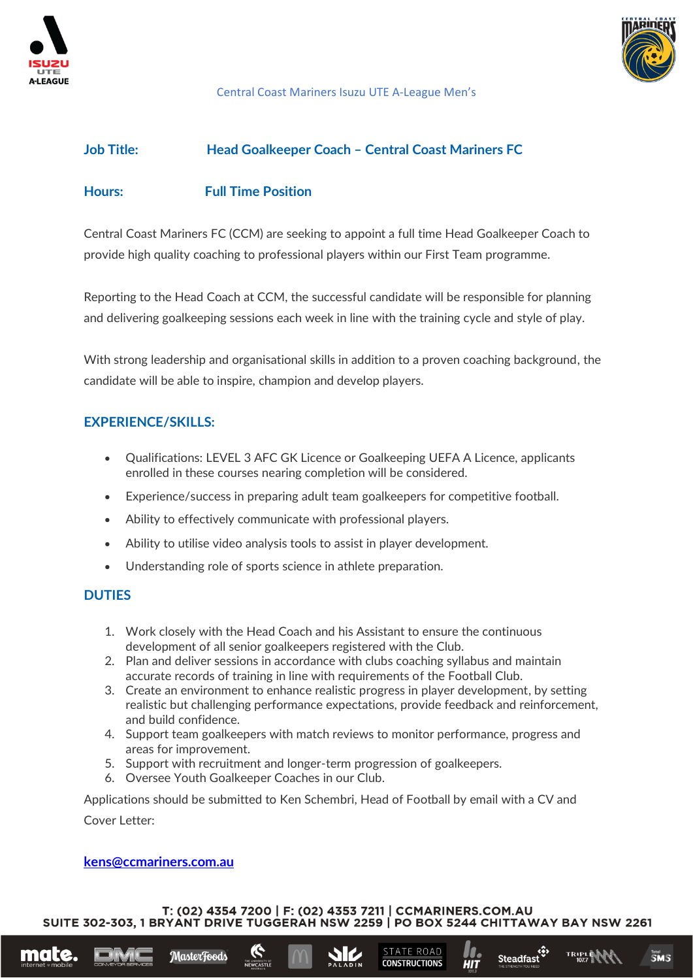



#### Central Coast Mariners Isuzu UTE A-League Men's

## **Job Title: Head Goalkeeper Coach – Central Coast Mariners FC**

## **Hours: Full Time Position**

Central Coast Mariners FC (CCM) are seeking to appoint a full time Head Goalkeeper Coach to provide high quality coaching to professional players within our First Team programme.

Reporting to the Head Coach at CCM, the successful candidate will be responsible for planning and delivering goalkeeping sessions each week in line with the training cycle and style of play.

With strong leadership and organisational skills in addition to a proven coaching background, the candidate will be able to inspire, champion and develop players.

# **EXPERIENCE/SKILLS:**

- Qualifications: LEVEL 3 AFC GK Licence or Goalkeeping UEFA A Licence, applicants enrolled in these courses nearing completion will be considered.
- Experience/success in preparing adult team goalkeepers for competitive football.
- Ability to effectively communicate with professional players.
- Ability to utilise video analysis tools to assist in player development.
- Understanding role of sports science in athlete preparation.

#### **DUTIES**

- 1. Work closely with the Head Coach and his Assistant to ensure the continuous development of all senior goalkeepers registered with the Club.
- 2. Plan and deliver sessions in accordance with clubs coaching syllabus and maintain accurate records of training in line with requirements of the Football Club.
- 3. Create an environment to enhance realistic progress in player development, by setting realistic but challenging performance expectations, provide feedback and reinforcement, and build confidence.
- 4. Support team goalkeepers with match reviews to monitor performance, progress and areas for improvement.
- 5. Support with recruitment and longer-term progression of goalkeepers.
- 6. Oversee Youth Goalkeeper Coaches in our Club.

Applications should be submitted to Ken Schembri, Head of Football by email with a CV and Cover Letter:

#### **[kens@ccmariners.com.au](mailto:kens@ccmariners.com.au%20m)**

MasterFoods

mate.

T: (02) 4354 7200 | F: (02) 4353 7211 | CCMARINERS.COM.AU SUITE 302-303, 1 BRYANT DRIVE TUGGERAH NSW 2259 | PO BOX 5244 CHITTAWAY BAY NSW 2261

**TATE ROAD** 

**CONSTRUCTIONS** 

**دقی**<br>Steadfast

 $\overline{\mathbf{SMS}}$